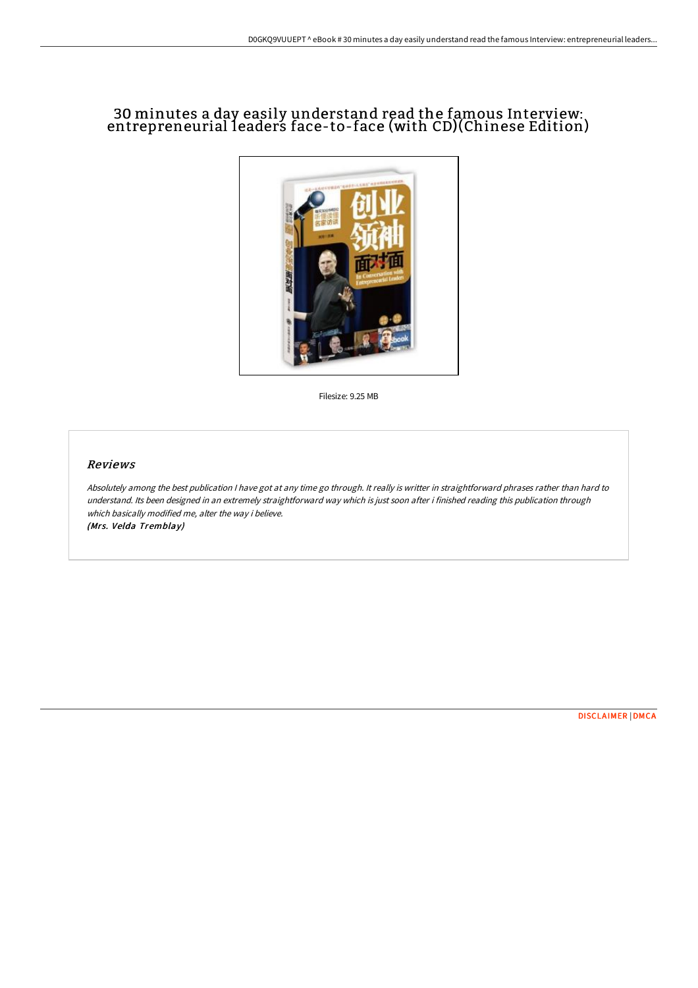# 30 minutes a day easily understand read the famous Interview: entrepreneurial leaders face-to-face (with CD)(Chinese Edition)



Filesize: 9.25 MB

### Reviews

Absolutely among the best publication <sup>I</sup> have got at any time go through. It really is writter in straightforward phrases rather than hard to understand. Its been designed in an extremely straightforward way which is just soon after i finished reading this publication through which basically modified me, alter the way i believe. (Mrs. Velda Tremblay)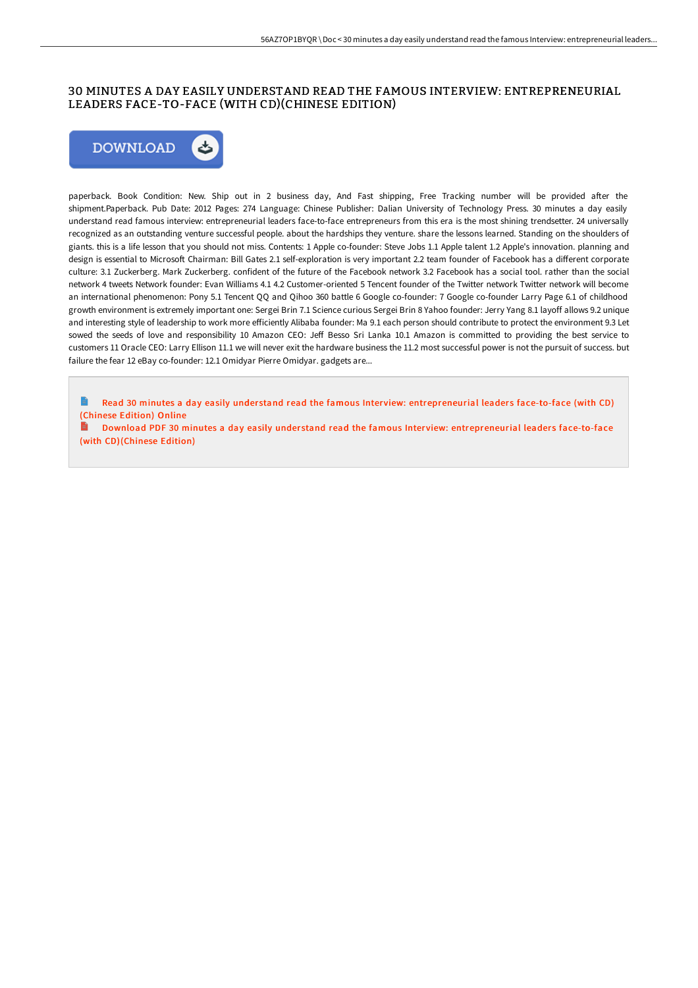## 30 MINUTES A DAY EASILY UNDERSTAND READ THE FAMOUS INTERVIEW: ENTREPRENEURIAL LEADERS FACE-TO-FACE (WITH CD)(CHINESE EDITION)



paperback. Book Condition: New. Ship out in 2 business day, And Fast shipping, Free Tracking number will be provided after the shipment.Paperback. Pub Date: 2012 Pages: 274 Language: Chinese Publisher: Dalian University of Technology Press. 30 minutes a day easily understand read famous interview: entrepreneurial leaders face-to-face entrepreneurs from this era is the most shining trendsetter. 24 universally recognized as an outstanding venture successful people. about the hardships they venture. share the lessons learned. Standing on the shoulders of giants. this is a life lesson that you should not miss. Contents: 1 Apple co-founder: Steve Jobs 1.1 Apple talent 1.2 Apple's innovation. planning and design is essential to Microsoft Chairman: Bill Gates 2.1 self-exploration is very important 2.2 team founder of Facebook has a different corporate culture: 3.1 Zuckerberg. Mark Zuckerberg. confident of the future of the Facebook network 3.2 Facebook has a social tool. rather than the social network 4 tweets Network founder: Evan Williams 4.1 4.2 Customer-oriented 5 Tencent founder of the Twitter network Twitter network will become an international phenomenon: Pony 5.1 Tencent QQ and Qihoo 360 battle 6 Google co-founder: 7 Google co-founder Larry Page 6.1 of childhood growth environment is extremely important one: Sergei Brin 7.1 Science curious Sergei Brin 8 Yahoo founder: Jerry Yang 8.1 layoff allows 9.2 unique and interesting style of leadership to work more efficiently Alibaba founder: Ma 9.1 each person should contribute to protect the environment 9.3 Let sowed the seeds of love and responsibility 10 Amazon CEO: Jeff Besso Sri Lanka 10.1 Amazon is committed to providing the best service to customers 11 Oracle CEO: Larry Ellison 11.1 we will never exit the hardware business the 11.2 most successful power is not the pursuit of success. but failure the fear 12 eBay co-founder: 12.1 Omidyar Pierre Omidyar. gadgets are...

Read 30 minutes a day easily understand read the famous Interview: [entrepreneurial](http://albedo.media/30-minutes-a-day-easily-understand-read-the-famo.html) leaders face-to-face (with CD) (Chinese Edition) Online

Download PDF 30 minutes a day easily understand read the famous Interview: [entrepreneurial](http://albedo.media/30-minutes-a-day-easily-understand-read-the-famo.html) leaders face-to-face (with CD)(Chinese Edition)